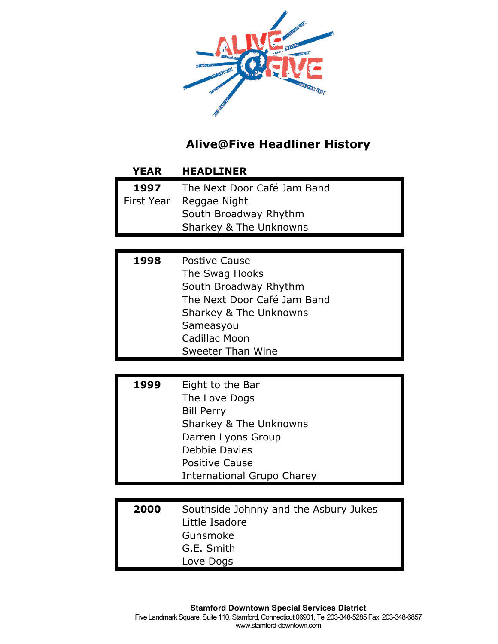

| <b>YEAR</b> | <b>HEADLINER</b>            |
|-------------|-----------------------------|
| 1997        | The Next Door Café Jam Band |
| First Year  | Reggae Night                |
|             | South Broadway Rhythm       |
|             | Sharkey & The Unknowns      |

| 1998 | <b>Postive Cause</b>        |
|------|-----------------------------|
|      | The Swag Hooks              |
|      | South Broadway Rhythm       |
|      | The Next Door Café Jam Band |
|      | Sharkey & The Unknowns      |
|      | Sameasyou                   |
|      | <b>Cadillac Moon</b>        |
|      | Sweeter Than Wine           |

| 1999 | Eight to the Bar                  |
|------|-----------------------------------|
|      | The Love Dogs                     |
|      | <b>Bill Perry</b>                 |
|      | Sharkey & The Unknowns            |
|      | Darren Lyons Group                |
|      | Debbie Davies                     |
|      | <b>Positive Cause</b>             |
|      | <b>International Grupo Charey</b> |

| 2000 | Southside Johnny and the Asbury Jukes |
|------|---------------------------------------|
|      | Little Isadore                        |
|      | Gunsmoke                              |
|      | G.E. Smith                            |
|      | Love Dogs                             |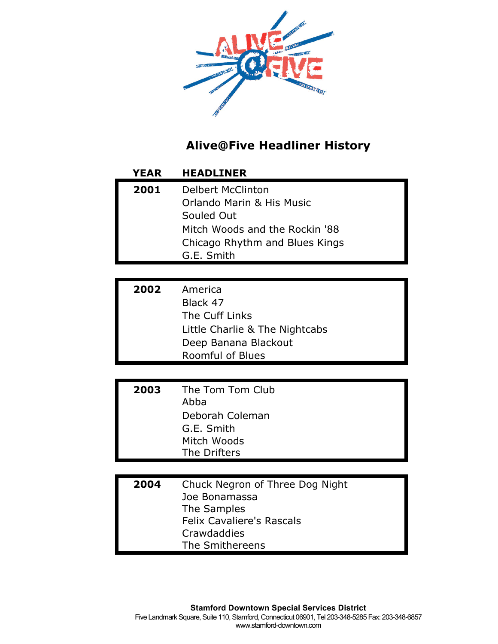

| <b>YEAR</b> | <b>HEADLINER</b>                                                                                                                                      |
|-------------|-------------------------------------------------------------------------------------------------------------------------------------------------------|
| 2001        | <b>Delbert McClinton</b><br>Orlando Marin & His Music<br>Souled Out<br>Mitch Woods and the Rockin '88<br>Chicago Rhythm and Blues Kings<br>G.E. Smith |
|             |                                                                                                                                                       |
| 2002        | America<br>Black 47<br>The Cuff Links<br>Little Charlie & The Nightcabs<br>Deep Banana Blackout<br><b>Roomful of Blues</b>                            |
|             |                                                                                                                                                       |
| 2003        | The Tom Tom Club<br>Abba<br>Deborah Coleman<br>G.E. Smith<br>Mitch Woods<br>The Drifters                                                              |
|             |                                                                                                                                                       |
| 2004        | Chuck Negron of Three Dog Night<br>Joe Bonamassa<br>The Samples<br><b>Felix Cavaliere's Rascals</b><br>Crawdaddies<br>The Smithereens                 |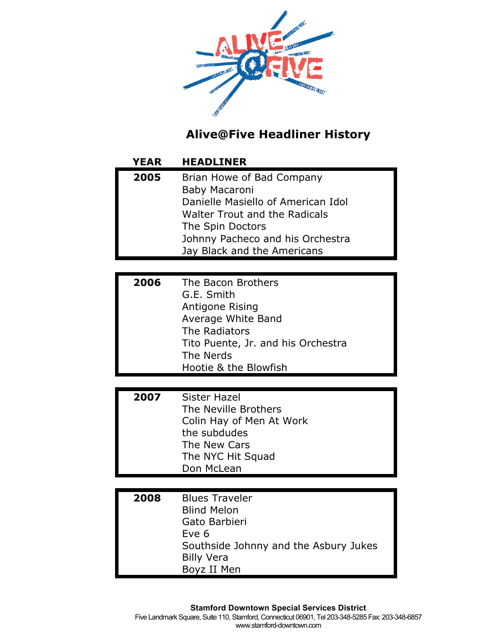

# **YEAR HEADLINER**

| 2005 | Brian Howe of Bad Company            |
|------|--------------------------------------|
|      | Baby Macaroni                        |
|      | Danielle Masiello of American Idol   |
|      | <b>Walter Trout and the Radicals</b> |
|      | The Spin Doctors                     |
|      | Johnny Pacheco and his Orchestra     |
|      | Jay Black and the Americans          |

| 2006 | The Bacon Brothers                 |
|------|------------------------------------|
|      | G.E. Smith                         |
|      | Antigone Rising                    |
|      | Average White Band                 |
|      | The Radiators                      |
|      | Tito Puente, Jr. and his Orchestra |
|      | The Nerds                          |
|      | Hootie & the Blowfish              |

| 2007 | Sister Hazel             |
|------|--------------------------|
|      | The Neville Brothers     |
|      | Colin Hay of Men At Work |
|      | the subdudes             |
|      | The New Cars             |
|      | The NYC Hit Squad        |
|      | Don McLean               |

| 2008 | <b>Blues Traveler</b>                 |
|------|---------------------------------------|
|      |                                       |
|      | <b>Blind Melon</b>                    |
|      | Gato Barbieri                         |
|      | Eve 6                                 |
|      | Southside Johnny and the Asbury Jukes |
|      | <b>Billy Vera</b>                     |
|      | Boyz II Men                           |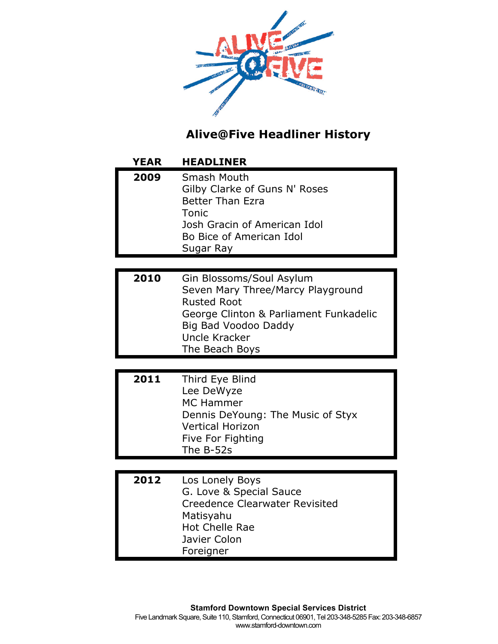

| <b>YEAR</b> | <b>HEADLINER</b>                                                                                                                                                                         |
|-------------|------------------------------------------------------------------------------------------------------------------------------------------------------------------------------------------|
| 2009        | Smash Mouth<br>Gilby Clarke of Guns N' Roses<br><b>Better Than Ezra</b><br>Tonic<br>Josh Gracin of American Idol<br>Bo Bice of American Idol<br>Sugar Ray                                |
|             |                                                                                                                                                                                          |
| 2010        | Gin Blossoms/Soul Asylum<br>Seven Mary Three/Marcy Playground<br><b>Rusted Root</b><br>George Clinton & Parliament Funkadelic<br>Big Bad Voodoo Daddy<br>Uncle Kracker<br>The Beach Boys |
|             |                                                                                                                                                                                          |
| 2011        | Third Eye Blind<br>Lee DeWyze<br><b>MC Hammer</b><br>Dennis DeYoung: The Music of Styx<br><b>Vertical Horizon</b><br>Five For Fighting<br>The B-52s                                      |
|             |                                                                                                                                                                                          |
| 2012        | Los Lonely Boys<br>G. Love & Special Sauce<br><b>Creedence Clearwater Revisited</b><br>Matisyahu<br><b>Hot Chelle Rae</b><br>Javier Colon<br>Foreigner                                   |